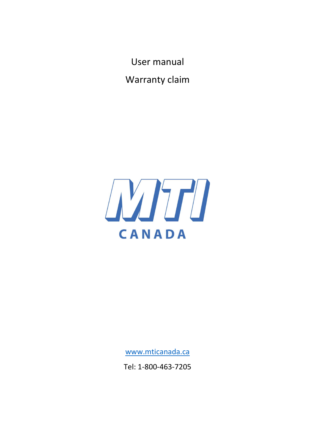User manual

Warranty claim



www.mticanada.ca

Tel: 1-800-463-7205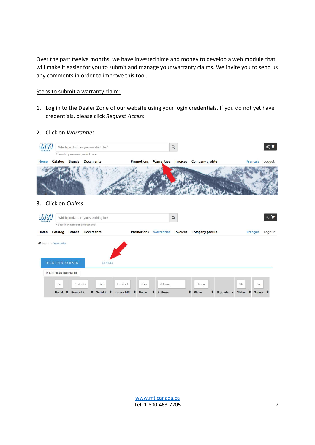Over the past twelve months, we have invested time and money to develop a web module that will make it easier for you to submit and manage your warranty claims. We invite you to send us any comments in order to improve this tool.

### Steps to submit a warranty claim:

- 1. Log in to the Dealer Zone of our website using your login credentials. If you do not yet have credentials, please click Request Access.
- 2. Click on Warranties



## 3. Click on Claims

| WT<br>CANADA |                                                    |                             | Which product are you searching for?<br>* Search by name or product code |                                                             | $\alpha$                             |                                                                         | $(0)$ $\blacksquare$                       |
|--------------|----------------------------------------------------|-----------------------------|--------------------------------------------------------------------------|-------------------------------------------------------------|--------------------------------------|-------------------------------------------------------------------------|--------------------------------------------|
| Home         | Catalog                                            | <b>Brands</b>               | <b>Documents</b>                                                         | <b>Promotions</b>                                           | <b>Warranties</b><br><b>Invoices</b> | <b>Company profile</b>                                                  | Français<br>Logout                         |
|              | ★ Home > Warranties<br><b>REGISTERED EQUIPMENT</b> |                             | <b>CLAIMS</b>                                                            |                                                             |                                      |                                                                         |                                            |
|              | <b>REGISTER AN EQUIPMENT</b>                       |                             |                                                                          |                                                             |                                      |                                                                         |                                            |
|              | Br:<br><b>Brand</b>                                | Product +<br>٠<br>Product # | Seria<br>Serial # $\triangle$<br>٠                                       | Nam<br>Invoice M<br>$\bullet$<br><b>Invoice MTI</b><br>Name | Address<br>٠<br><b>Address</b>       | Phone<br>÷<br>⇔<br>Phone<br><b>Buy date</b><br>$\overline{\phantom{0}}$ | Sou<br>Sta<br><b>Status</b><br>÷<br>Source |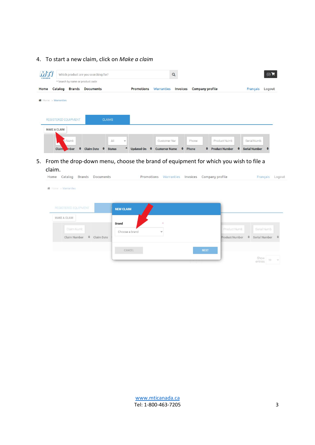# 4. To start a new claim, click on Make a claim

| <b>WITI</b><br>CANADA |                      |               | Which product are you searching for?<br>* Search by name or product code |                    |              |                   |                           | $\alpha$        |                        |   |                       |   |                      | $(0)$ $\blacksquare$ |
|-----------------------|----------------------|---------------|--------------------------------------------------------------------------|--------------------|--------------|-------------------|---------------------------|-----------------|------------------------|---|-----------------------|---|----------------------|----------------------|
| Home                  | Catalog              | <b>Brands</b> | <b>Documents</b>                                                         |                    |              | <b>Promotions</b> | <b>Warranties</b>         | <b>Invoices</b> | <b>Company profile</b> |   |                       |   | Français             | Logout               |
|                       | Home > Warranties    |               |                                                                          |                    |              |                   |                           |                 |                        |   |                       |   |                      |                      |
|                       |                      |               |                                                                          |                    |              |                   |                           |                 |                        |   |                       |   |                      |                      |
|                       | REGISTERED EQUIPMENT |               |                                                                          | <b>CLAIMS</b>      |              |                   |                           |                 |                        |   |                       |   |                      |                      |
|                       | <b>MAKE A CLAIM</b>  |               |                                                                          |                    |              |                   |                           |                 |                        |   |                       |   |                      |                      |
|                       |                      | m Numb        |                                                                          | All                | $\checkmark$ |                   | Customer Nar              |                 | Phone                  |   | Product Numb          |   | Serial Numb          |                      |
|                       | <b>Claim</b>         | mber          | <b>Claim Date</b>                                                        | ٠<br><b>Status</b> |              | <b>Updated On</b> | ÷<br><b>Customer Name</b> | ٠               | Phone                  | ÷ | <b>Product Number</b> | ⇔ | <b>Serial Number</b> |                      |

5. From the drop-down menu, choose the brand of equipment for which you wish to file a claim.

| Home |                     | Catalog Brands Documents |  | Promotions Warranties Invoices Company profile | Français Logout |  |
|------|---------------------|--------------------------|--|------------------------------------------------|-----------------|--|
|      |                     |                          |  |                                                |                 |  |
|      | 备 Home > Warranties |                          |  |                                                |                 |  |
|      |                     |                          |  |                                                |                 |  |

| REGISTERED EQUIPMENT                                        |            | <b>NEW CLAIM</b>               |                        |             |                                |               |                              |    |        |
|-------------------------------------------------------------|------------|--------------------------------|------------------------|-------------|--------------------------------|---------------|------------------------------|----|--------|
| <b>MAKE A CLAIM</b><br>Claim Numb<br>$\div$<br>Claim Number | Claim Date | <b>Brand</b><br>Choose a brand | $\star$<br>$\check{ }$ |             | Product Numb<br>Product Number | $\Rightarrow$ | Serial Numb<br>Serial Number |    |        |
|                                                             |            | CANCEL                         |                        | <b>NEXT</b> |                                |               | Show<br>entries              | 10 | $\sim$ |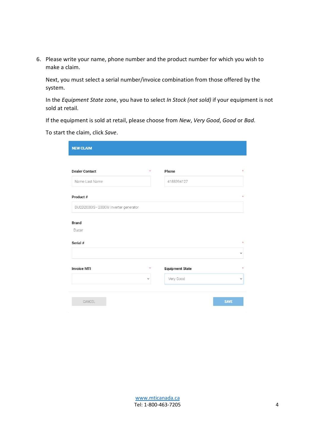6. Please write your name, phone number and the product number for which you wish to make a claim.

Next, you must select a serial number/invoice combination from those offered by the system.

In the Equipment State zone, you have to select In Stock (not sold) if your equipment is not sold at retail.

If the equipment is sold at retail, please choose from New, Very Good, Good or Bad.

To start the claim, click Save.

| <b>NEW CLAIM</b>                      |         |                        |              |
|---------------------------------------|---------|------------------------|--------------|
| <b>Dealer Contact</b>                 | $\star$ | Phone                  | ÷.           |
| Name Last Name                        |         | 4188394127             |              |
| Product #                             |         |                        | $\star$      |
| DUED2000IS - 2000W Inverter generator |         |                        |              |
|                                       |         |                        |              |
|                                       |         |                        |              |
| Ducar                                 |         |                        |              |
| <b>Brand</b><br>Serial #              |         |                        | $\star$      |
|                                       |         |                        | $\checkmark$ |
| <b>Invoice MTI</b>                    | $\star$ | <b>Equipment State</b> | ÷            |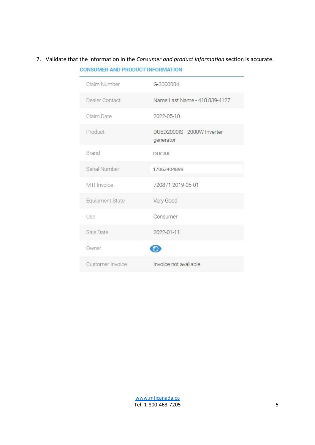# 7. Validate that the information in the Consumer and product information section is accurate. **CONSUMER AND PRODUCT INFORMATION**

| Claim Number     | G-3000004                                |
|------------------|------------------------------------------|
| Dealer Contact   | Name Last Name - 418 839-4127            |
| Claim Date       | 2022-05-10                               |
| Product          | DUED2000IS - 2000W Inverter<br>generator |
| Brand            | DUCAR                                    |
| Serial Number    | 17062404899                              |
| MTI Invoice      | 720871 2019-05-01                        |
| Equipment State  | Very Good                                |
| Use              | Consumer                                 |
| Sale Date        | 2022-01-11                               |
| Owner            |                                          |
| Customer Invoice | Invoice not available                    |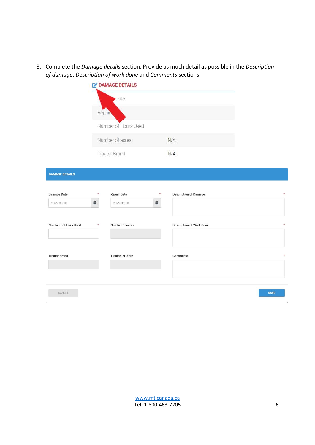8. Complete the Damage details section. Provide as much detail as possible in the Description of damage, Description of work done and Comments sections.

|                                  |              | DAMAGE DETAILS                   |              |                                 |             |
|----------------------------------|--------------|----------------------------------|--------------|---------------------------------|-------------|
|                                  |              | Date                             |              |                                 |             |
|                                  | Repair       |                                  |              |                                 |             |
|                                  |              | Number of Hours Used             |              |                                 |             |
|                                  |              | Number of acres                  |              | N/A                             |             |
|                                  |              | <b>Tractor Brand</b>             |              | N/A                             |             |
| <b>DAMAGE DETAILS</b>            |              |                                  |              |                                 |             |
| <b>Damage Date</b><br>2022-05-10 | $\star$<br>ä | <b>Repair Date</b><br>2022-05-10 | $\star$<br>ä | <b>Description of Damage</b>    |             |
| <b>Number of Hours Used</b>      | $\star$      | Number of acres                  |              | <b>Description of Work Done</b> |             |
| <b>Tractor Brand</b>             |              | <b>Tractor PTO HP</b>            |              | <b>Comments</b>                 |             |
|                                  |              |                                  |              |                                 |             |
| CANCEL                           |              |                                  |              |                                 | <b>SAVE</b> |
|                                  |              |                                  |              |                                 |             |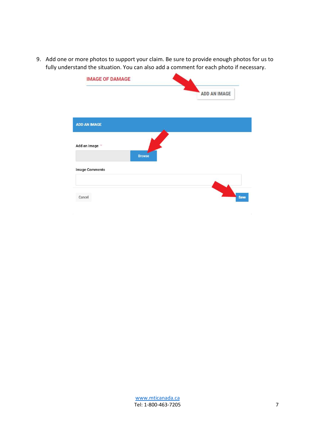9. Add one or more photos to support your claim. Be sure to provide enough photos for us to fully understand the situation. You can also add a comment for each photo if necessary.

| <b>IMAGE OF DAMAGE</b> |               |              |
|------------------------|---------------|--------------|
|                        |               | ADD AN IMAGE |
|                        |               |              |
| <b>ADD AN IMAGE</b>    |               |              |
| Add an image $*$       |               |              |
|                        | <b>Browse</b> |              |
| <b>Image Comments</b>  |               |              |
|                        |               |              |
| Cancel                 |               | <b>Save</b>  |
|                        |               |              |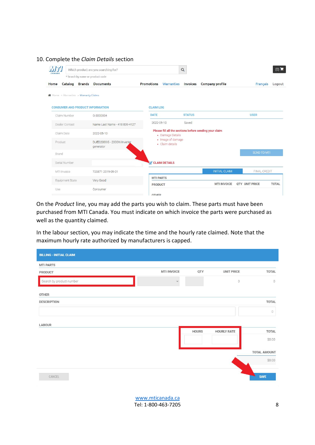| $v$ $r$ $r$<br>CANADA                   | Which product are you searching for?<br>* Search by name or product code |                      |                                      | $\alpha$      |                                                        |                       | $(0)$ $\blacksquare$ |
|-----------------------------------------|--------------------------------------------------------------------------|----------------------|--------------------------------------|---------------|--------------------------------------------------------|-----------------------|----------------------|
| Home                                    | Catalog Brands Documents                                                 | <b>Promotions</b>    | <b>Warranties</b>                    | Invoices      | Company profile                                        | Français              | Logout               |
| ★ Home > Warranties > Warranty Claims   |                                                                          |                      |                                      |               |                                                        |                       |                      |
| <b>CONSUMER AND PRODUCT INFORMATION</b> |                                                                          | <b>CLAIM LOG</b>     |                                      |               |                                                        |                       |                      |
| Claim Number                            | G-3000004                                                                | <b>DATE</b>          |                                      | <b>STATUS</b> |                                                        | <b>USER</b>           |                      |
| Dealer Contact                          | Name Last Name - 418 839-4127                                            | 2022-05-10           |                                      | Saved         |                                                        |                       |                      |
| Claim Date                              | 2022-05-10                                                               |                      | · Damage Details                     |               | Please fill all the sections before sending your claim |                       |                      |
| Product                                 | DUED2000IS - 2000W Inverter<br>generator                                 |                      | · Image of damage<br>· Claim details |               |                                                        |                       |                      |
| Brand                                   |                                                                          |                      |                                      |               |                                                        | SEND TO MTI           |                      |
| Serial Number                           |                                                                          | <b>CLAIM DETAILS</b> |                                      |               |                                                        |                       |                      |
| MTI Invoice                             | 720871 2019-05-01                                                        |                      |                                      |               | <b>INITIAL CLAIM</b>                                   | FINAL CREDIT          |                      |
| Equipment State                         | Very Good                                                                | <b>MTI PARTS</b>     |                                      |               |                                                        |                       |                      |
| Use                                     | Consumer                                                                 | <b>PRODUCT</b>       |                                      |               | <b>MTI INVOICE</b>                                     | <b>OTY UNIT PRICE</b> | <b>TOTAL</b>         |
|                                         |                                                                          | OTHER                |                                      |               |                                                        |                       |                      |

#### 10. Complete the Claim Details section

On the Product line, you may add the parts you wish to claim. These parts must have been purchased from MTI Canada. You must indicate on which invoice the parts were purchased as well as the quantity claimed.

In the labour section, you may indicate the time and the hourly rate claimed. Note that the maximum hourly rate authorized by manufacturers is capped.

| <b>BILLING - INITIAL CLAIM</b> |                     |              |                    |                     |
|--------------------------------|---------------------|--------------|--------------------|---------------------|
| <b>MTI PARTS</b>               |                     |              |                    |                     |
| PRODUCT                        | <b>MTI INVOICE</b>  | QTY          | <b>UNIT PRICE</b>  | <b>TOTAL</b>        |
| Search by product number       | $\checkmark$        |              | $\circledcirc$     | $\circ$             |
| <b>OTHER</b>                   |                     |              |                    |                     |
| <b>DESCRIPTION</b>             |                     |              |                    | <b>TOTAL</b>        |
|                                |                     |              |                    | 0                   |
| <b>LABOUR</b>                  |                     |              |                    |                     |
|                                |                     | <b>HOURS</b> | <b>HOURLY RATE</b> | <b>TOTAL</b>        |
|                                |                     |              |                    | \$0.00              |
|                                |                     |              |                    | <b>TOTAL AMOUNT</b> |
|                                |                     |              |                    | \$0.00              |
| CANCEL                         |                     |              |                    | <b>SAVE</b>         |
|                                |                     |              |                    |                     |
|                                | www.mticanada.ca    |              |                    |                     |
|                                | Tel: 1-800-463-7205 |              |                    | 8                   |